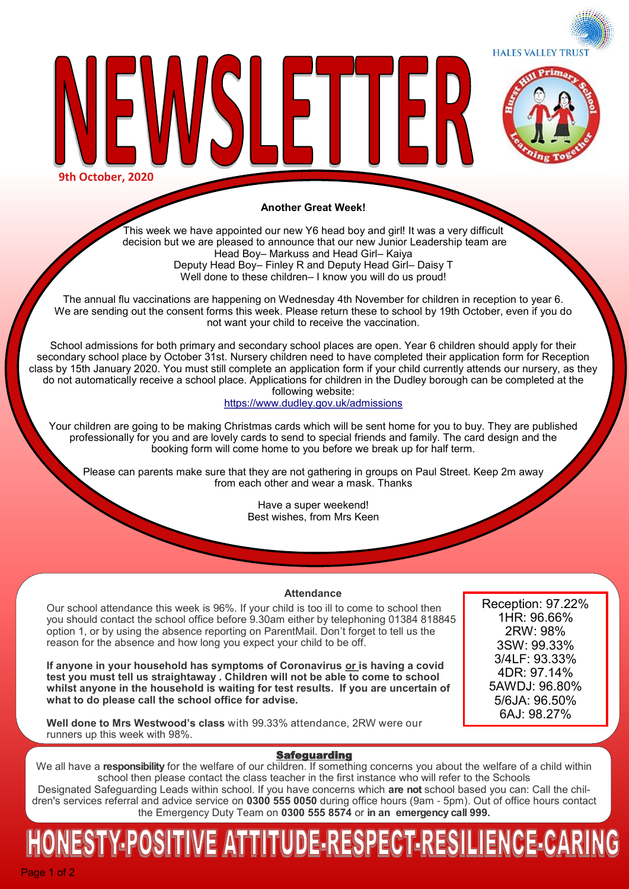**HALES VALLEY TRUST** 



**Another Great Week!**

 $\blacksquare$ 

**9th October, 2020**

This week we have appointed our new Y6 head boy and girl! It was a very difficult decision but we are pleased to announce that our new Junior Leadership team are Head Boy– Markuss and Head Girl– Kaiya Deputy Head Boy– Finley R and Deputy Head Girl– Daisy T Well done to these children– I know you will do us proud!

The annual flu vaccinations are happening on Wednesday 4th November for children in reception to year 6. We are sending out the consent forms this week. Please return these to school by 19th October, even if you do not want your child to receive the vaccination.

School admissions for both primary and secondary school places are open. Year 6 children should apply for their secondary school place by October 31st. Nursery children need to have completed their application form for Reception class by 15th January 2020. You must still complete an application form if your child currently attends our nursery, as they do not automatically receive a school place. Applications for children in the Dudley borough can be completed at the following website:

<https://www.dudley.gov.uk/admissions>

Your children are going to be making Christmas cards which will be sent home for you to buy. They are published professionally for you and are lovely cards to send to special friends and family. The card design and the booking form will come home to you before we break up for half term.

Please can parents make sure that they are not gathering in groups on Paul Street. Keep 2m away from each other and wear a mask. Thanks

> Have a super weekend! Best wishes, from Mrs Keen

#### **Attendance**

Our school attendance this week is 96%. If your child is too ill to come to school then you should contact the school office before 9.30am either by telephoning 01384 818845 option 1, or by using the absence reporting on ParentMail. Don't forget to tell us the reason for the absence and how long you expect your child to be off.

**If anyone in your household has symptoms of Coronavirus or is having a covid test you must tell us straightaway . Children will not be able to come to school whilst anyone in the household is waiting for test results. If you are uncertain of what to do please call the school office for advise.**

**Well done to Mrs Westwood's class** with 99.33% attendance, 2RW were our runners up this week with 98%.

Reception: 97.22% 1HR: 96.66% 2RW: 98% 3SW: 99.33% 3/4LF: 93.33% 4DR: 97.14% 5AWDJ: 96.80% 5/6JA: 96.50% 6AJ: 98.27%

#### Safeguarding

We all have a **responsibility** for the welfare of our children. If something concerns you about the welfare of a child within school then please contact the class teacher in the first instance who will refer to the Schools Designated Safeguarding Leads within school. If you have concerns which **are not** school based you can: Call the children's services referral and advice service on **0300 555 0050** during office hours (9am - 5pm). Out of office hours contact the Emergency Duty Team on **0300 555 8574** or **in an emergency call 999.** 

# IESTY-POSITIVE ATTITUDE-RESPECT-RESILIENCE-CARIN

Page 1 of 2